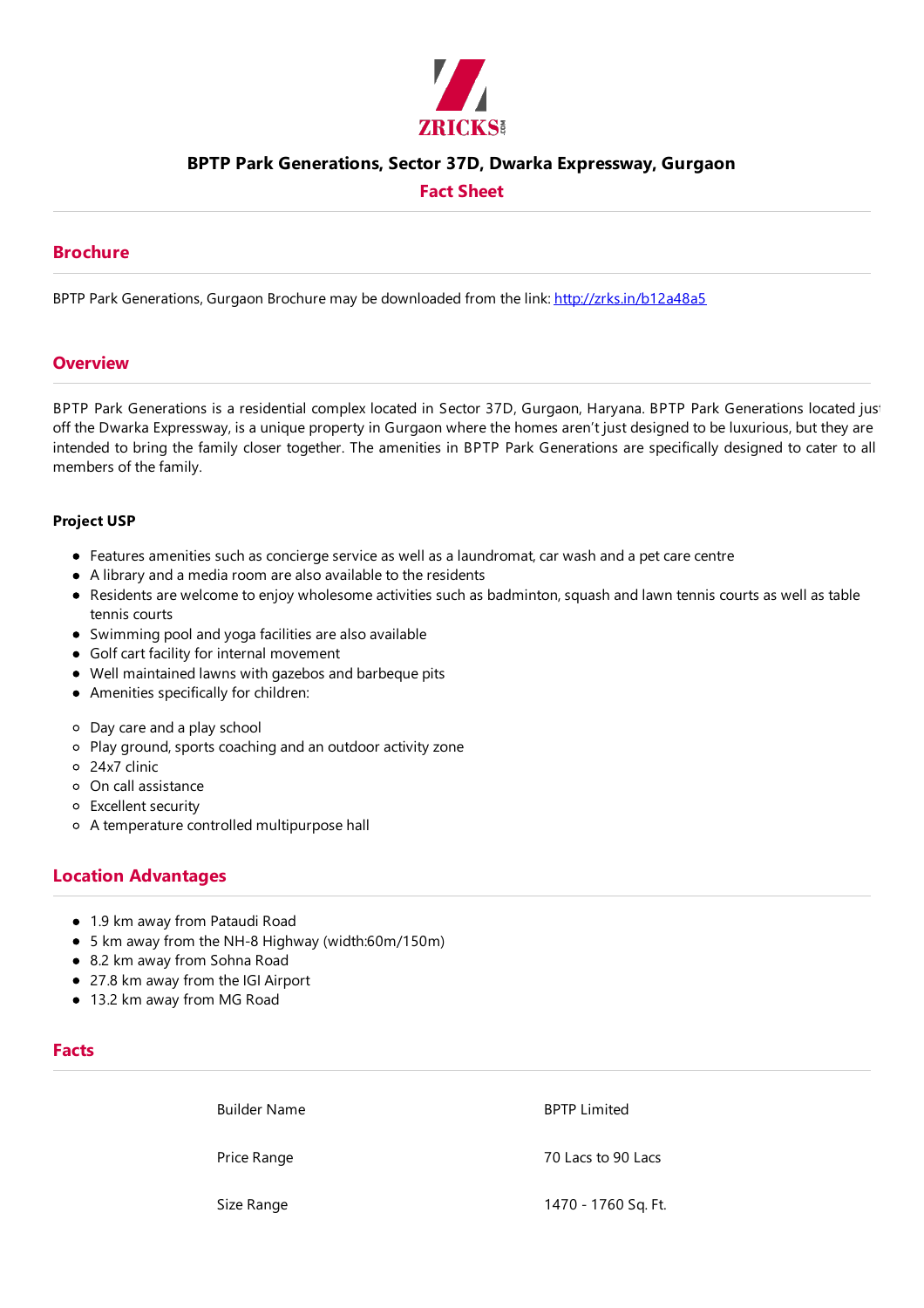

## **BPTP Park Generations, Sector 37D, Dwarka Expressway, Gurgaon**

### **Fact Sheet**

### **Brochure**

BPTP Park Generations, Gurgaon Brochure may be downloaded from the link: http://zrks.in/b12a48a5

#### **Overview**

BPTP Park Generations is a residential complex located in Sector 37D, Gurgaon, Haryana. BPTP Park Generations located just off the Dwarka Expressway, is a unique property in Gurgaon where the homes aren't just designed to be luxurious, but they are intended to bring the family closer together. The amenities in BPTP Park Generations are specifically designed to cater to all members of the family.

#### **Project USP**

- Features amenities such as concierge service as well as a laundromat, car wash and a pet care centre
- A library and a media room are also available to the residents
- Residents are welcome to enjoy wholesome activities such as badminton, squash and lawn tennis courts as well as table tennis courts
- Swimming pool and yoga facilities are also available
- Golf cart facility for internal movement
- Well maintained lawns with gazebos and barbeque pits
- Amenities specifically for children:
- Day careand a play school
- Play ground, sports coaching and an outdoor activity zone
- 24x7 clinic
- On call assistance
- Excellent security
- o A temperature controlled multipurpose hall

## **Location Advantages**

- 1.9 km away from Pataudi Road
- 5 km away from the NH-8 Highway (width:60m/150m)
- 8.2 km away from Sohna Road
- 27.8 km away from the IGI Airport
- 13.2 km away from MG Road

#### **Facts**

Builder Name **Builder Name** 

Price Range 70 Lacs to 90 Lacs

Size Range 1470 - 1760 Sq.Ft.